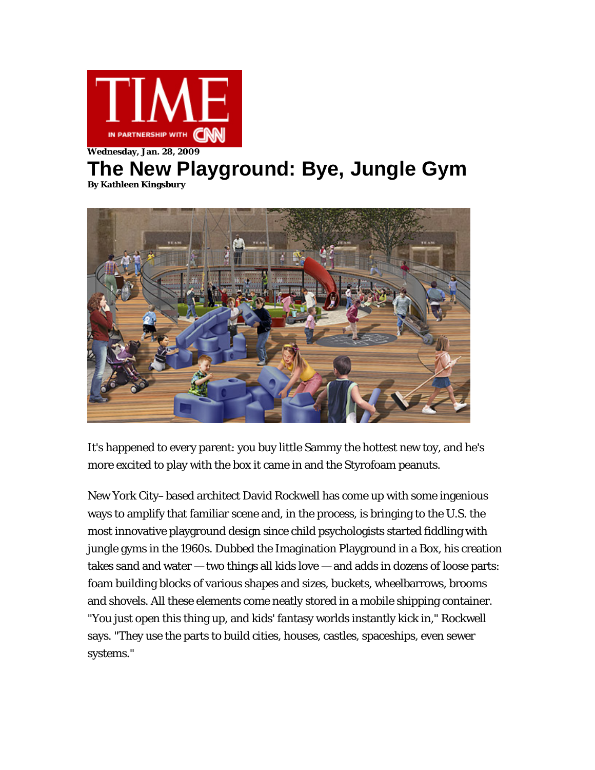

## **Wednesday, Jan. 28, 2009**

## **The New Playground: Bye, Jungle Gym By Kathleen Kingsbury**



It's happened to every parent: you buy little Sammy the hottest new toy, and he's more excited to play with the box it came in and the Styrofoam peanuts.

New York City–based architect David Rockwell has come up with some ingenious ways to amplify that familiar scene and, in the process, is bringing to the U.S. the most innovative playground design since child psychologists started fiddling with jungle gyms in the 1960s. Dubbed the Imagination Playground in a Box, his creation takes sand and water — two things all kids love — and adds in dozens of loose parts: foam building blocks of various shapes and sizes, buckets, wheelbarrows, brooms and shovels. All these elements come neatly stored in a mobile shipping container. "You just open this thing up, and kids' fantasy worlds instantly kick in," Rockwell says. "They use the parts to build cities, houses, castles, spaceships, even sewer systems."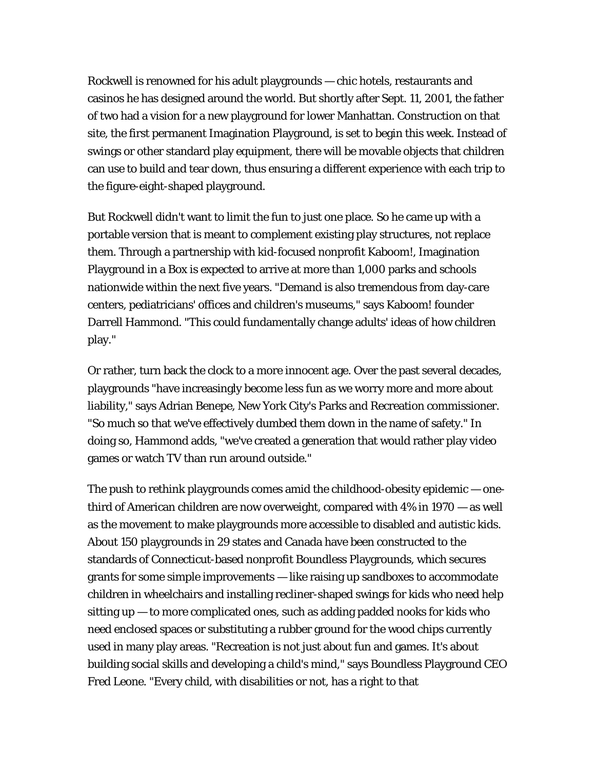Rockwell is renowned for his adult playgrounds — chic hotels, restaurants and casinos he has designed around the world. But shortly after [Sept. 11, 2001](http://www.time.com/time/topics/sept-11/0,30939,,00.html), the father of two had a vision for a new playground for lower Manhattan. Construction on that site, the first permanent Imagination Playground, is set to begin this week. Instead of swings or other standard play equipment, there will be movable objects that children can use to build and tear down, thus ensuring a different experience with each trip to the figure-eight-shaped playground.

But Rockwell didn't want to limit the fun to just one place. So he came up with a portable version that is meant to complement existing play structures, not replace them. Through a partnership with kid-focused nonprofit Kaboom!, Imagination Playground in a Box is expected to arrive at more than 1,000 parks and schools nationwide within the next five years. "Demand is also tremendous from day-care centers, pediatricians' offices and children's museums," says Kaboom! founder Darrell Hammond. "This could fundamentally change adults' ideas of how children play."

Or rather, turn back the clock to a more innocent age. Over the past several decades, playgrounds "have increasingly become less fun as we worry more and more about liability," says Adrian Benepe, New York City's Parks and Recreation commissioner. "So much so that we've effectively dumbed them down in the name of safety." In doing so, Hammond adds, "we've created a generation that would rather play video games or watch TV than run around outside."

The push to rethink playgrounds comes amid the childhood-obesity epidemic — onethird of American children are now overweight, compared with 4% in 1970 — as well as the movement to make playgrounds more accessible to disabled and autistic kids. About 150 playgrounds in 29 states and Canada have been constructed to the standards of Connecticut-based nonprofit Boundless Playgrounds, which secures grants for some simple improvements — like raising up sandboxes to accommodate children in wheelchairs and installing recliner-shaped swings for kids who need help sitting  $up - to$  more complicated ones, such as adding padded nooks for kids who need enclosed spaces or substituting a rubber ground for the wood chips currently used in many play areas. "Recreation is not just about fun and games. It's about building social skills and developing a child's mind," says Boundless Playground CEO Fred Leone. "Every child, with disabilities or not, has a right to that